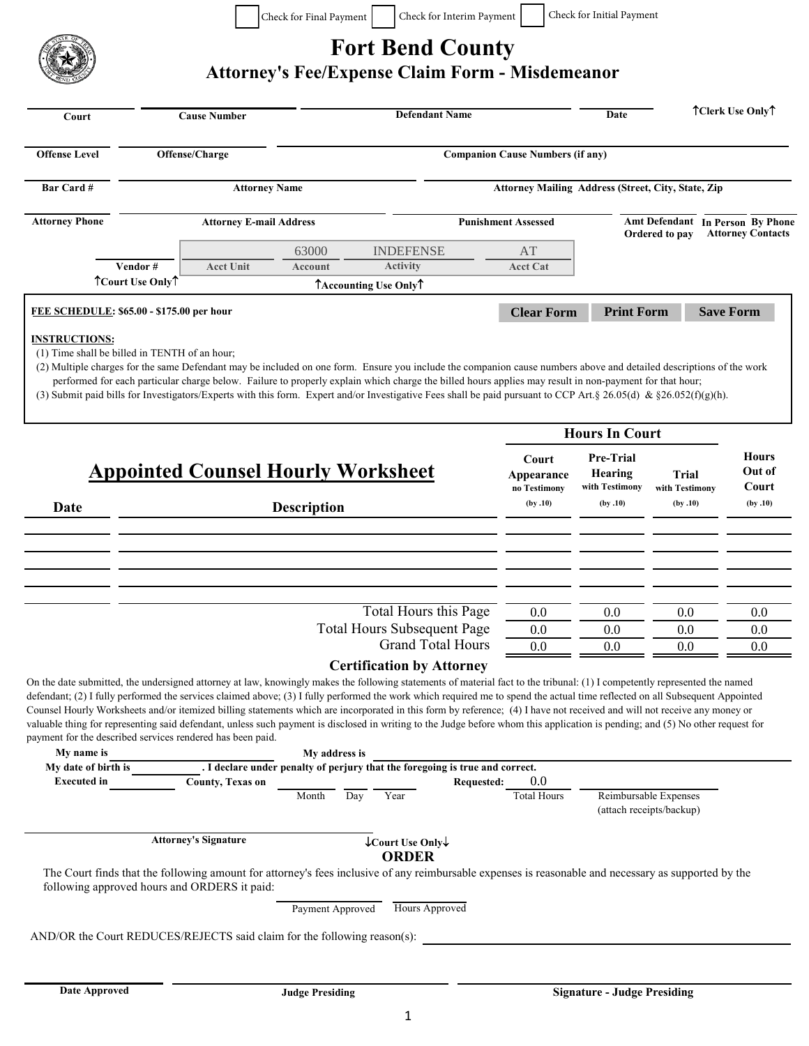

## **Fort Bend County**

## **Attorney's Fee/Expense Claim Form - Misdemeanor**

| <b>Offense Level</b><br>Offense/Charge<br><b>Companion Cause Numbers (if any)</b><br>Bar Card #<br><b>Attorney Name</b><br>Attorney Mailing Address (Street, City, State, Zip<br><b>Attorney Phone</b><br><b>Attorney E-mail Address</b><br><b>Punishment Assessed</b><br>Amt Defendant In Person By Phone<br>Ordered to pay<br>63000<br><b>INDEFENSE</b><br>AT<br>Vendor#<br><b>Acct Unit</b><br><b>Activity</b><br><b>Account</b><br><b>Acct Cat</b><br>TCourt Use OnlyT<br>TAccounting Use OnlyT<br><b>Clear Form</b><br><b>Print Form</b><br>FEE SCHEDULE: \$65.00 - \$175.00 per hour<br><b>Save Form</b><br><b>INSTRUCTIONS:</b><br>(1) Time shall be billed in TENTH of an hour;<br>(2) Multiple charges for the same Defendant may be included on one form. Ensure you include the companion cause numbers above and detailed descriptions of the work<br>performed for each particular charge below. Failure to properly explain which charge the billed hours applies may result in non-payment for that hour;<br>(3) Submit paid bills for Investigators/Experts with this form. Expert and/or Investigative Fees shall be paid pursuant to CCP Art. § 26.05(d) & §26.052(f)(g)(h).<br><b>Hours In Court</b><br><b>Hours</b><br><b>Pre-Trial</b><br>Court<br><b>Appointed Counsel Hourly Worksheet</b><br>Out of<br>Hearing<br><b>Trial</b><br>Appearance<br>with Testimony<br>Court<br>no Testimony<br>with Testimony<br>(by.10)<br>(by.10)<br>(by.10)<br>(by.10)<br><b>Description</b><br>Date<br>Total Hours this Page<br>0.0<br>0.0<br>0.0<br>0.0<br><b>Total Hours Subsequent Page</b><br>0.0<br>0.0<br>0.0<br>0.0<br><b>Grand Total Hours</b><br>0.0<br>0.0<br>0.0<br>0.0<br><b>Certification by Attorney</b><br>On the date submitted, the undersigned attorney at law, knowingly makes the following statements of material fact to the tribunal: (1) I competently represented the named<br>defendant; (2) I fully performed the services claimed above; (3) I fully performed the work which required me to spend the actual time reflected on all Subsequent Appointed<br>Counsel Hourly Worksheets and/or itemized billing statements which are incorporated in this form by reference; (4) I have not received and will not receive any money or<br>valuable thing for representing said defendant, unless such payment is disclosed in writing to the Judge before whom this application is pending; and (5) No other request for<br>payment for the described services rendered has been paid.<br>My name is<br>My address is<br>. I declare under penalty of perjury that the foregoing is true and correct.<br>My date of birth is<br><b>Executed</b> in<br>County, Texas on<br>0.0<br><b>Requested:</b><br>Reimbursable Expenses<br><b>Total Hours</b><br>Year<br>Day<br>Month<br>(attach receipts/backup)<br><b>Attorney's Signature</b><br>↓Court Use Only↓<br><b>ORDER</b><br>The Court finds that the following amount for attorney's fees inclusive of any reimbursable expenses is reasonable and necessary as supported by the<br>following approved hours and ORDERS it paid:<br><b>Hours Approved</b><br>Payment Approved<br>AND/OR the Court REDUCES/REJECTS said claim for the following reason(s): | Court | <b>Cause Number</b> |  | <b>Defendant Name</b> |  |  |  | Date | TClerk Use OnlyT         |  |  |  |
|---------------------------------------------------------------------------------------------------------------------------------------------------------------------------------------------------------------------------------------------------------------------------------------------------------------------------------------------------------------------------------------------------------------------------------------------------------------------------------------------------------------------------------------------------------------------------------------------------------------------------------------------------------------------------------------------------------------------------------------------------------------------------------------------------------------------------------------------------------------------------------------------------------------------------------------------------------------------------------------------------------------------------------------------------------------------------------------------------------------------------------------------------------------------------------------------------------------------------------------------------------------------------------------------------------------------------------------------------------------------------------------------------------------------------------------------------------------------------------------------------------------------------------------------------------------------------------------------------------------------------------------------------------------------------------------------------------------------------------------------------------------------------------------------------------------------------------------------------------------------------------------------------------------------------------------------------------------------------------------------------------------------------------------------------------------------------------------------------------------------------------------------------------------------------------------------------------------------------------------------------------------------------------------------------------------------------------------------------------------------------------------------------------------------------------------------------------------------------------------------------------------------------------------------------------------------------------------------------------------------------------------------------------------------------------------------------------------------------------------------------------------------------------------------------------------------------------------------------------------------------------------------------------------------------------------------------------------------------------------------------------------------------------------------------------------------------------------------------------------------------------------------------------------------------------------------------------------------------------------------|-------|---------------------|--|-----------------------|--|--|--|------|--------------------------|--|--|--|
|                                                                                                                                                                                                                                                                                                                                                                                                                                                                                                                                                                                                                                                                                                                                                                                                                                                                                                                                                                                                                                                                                                                                                                                                                                                                                                                                                                                                                                                                                                                                                                                                                                                                                                                                                                                                                                                                                                                                                                                                                                                                                                                                                                                                                                                                                                                                                                                                                                                                                                                                                                                                                                                                                                                                                                                                                                                                                                                                                                                                                                                                                                                                                                                                                                             |       |                     |  |                       |  |  |  |      |                          |  |  |  |
|                                                                                                                                                                                                                                                                                                                                                                                                                                                                                                                                                                                                                                                                                                                                                                                                                                                                                                                                                                                                                                                                                                                                                                                                                                                                                                                                                                                                                                                                                                                                                                                                                                                                                                                                                                                                                                                                                                                                                                                                                                                                                                                                                                                                                                                                                                                                                                                                                                                                                                                                                                                                                                                                                                                                                                                                                                                                                                                                                                                                                                                                                                                                                                                                                                             |       |                     |  |                       |  |  |  |      |                          |  |  |  |
|                                                                                                                                                                                                                                                                                                                                                                                                                                                                                                                                                                                                                                                                                                                                                                                                                                                                                                                                                                                                                                                                                                                                                                                                                                                                                                                                                                                                                                                                                                                                                                                                                                                                                                                                                                                                                                                                                                                                                                                                                                                                                                                                                                                                                                                                                                                                                                                                                                                                                                                                                                                                                                                                                                                                                                                                                                                                                                                                                                                                                                                                                                                                                                                                                                             |       |                     |  |                       |  |  |  |      | <b>Attorney Contacts</b> |  |  |  |
|                                                                                                                                                                                                                                                                                                                                                                                                                                                                                                                                                                                                                                                                                                                                                                                                                                                                                                                                                                                                                                                                                                                                                                                                                                                                                                                                                                                                                                                                                                                                                                                                                                                                                                                                                                                                                                                                                                                                                                                                                                                                                                                                                                                                                                                                                                                                                                                                                                                                                                                                                                                                                                                                                                                                                                                                                                                                                                                                                                                                                                                                                                                                                                                                                                             |       |                     |  |                       |  |  |  |      |                          |  |  |  |
|                                                                                                                                                                                                                                                                                                                                                                                                                                                                                                                                                                                                                                                                                                                                                                                                                                                                                                                                                                                                                                                                                                                                                                                                                                                                                                                                                                                                                                                                                                                                                                                                                                                                                                                                                                                                                                                                                                                                                                                                                                                                                                                                                                                                                                                                                                                                                                                                                                                                                                                                                                                                                                                                                                                                                                                                                                                                                                                                                                                                                                                                                                                                                                                                                                             |       |                     |  |                       |  |  |  |      |                          |  |  |  |
|                                                                                                                                                                                                                                                                                                                                                                                                                                                                                                                                                                                                                                                                                                                                                                                                                                                                                                                                                                                                                                                                                                                                                                                                                                                                                                                                                                                                                                                                                                                                                                                                                                                                                                                                                                                                                                                                                                                                                                                                                                                                                                                                                                                                                                                                                                                                                                                                                                                                                                                                                                                                                                                                                                                                                                                                                                                                                                                                                                                                                                                                                                                                                                                                                                             |       |                     |  |                       |  |  |  |      |                          |  |  |  |
|                                                                                                                                                                                                                                                                                                                                                                                                                                                                                                                                                                                                                                                                                                                                                                                                                                                                                                                                                                                                                                                                                                                                                                                                                                                                                                                                                                                                                                                                                                                                                                                                                                                                                                                                                                                                                                                                                                                                                                                                                                                                                                                                                                                                                                                                                                                                                                                                                                                                                                                                                                                                                                                                                                                                                                                                                                                                                                                                                                                                                                                                                                                                                                                                                                             |       |                     |  |                       |  |  |  |      |                          |  |  |  |
|                                                                                                                                                                                                                                                                                                                                                                                                                                                                                                                                                                                                                                                                                                                                                                                                                                                                                                                                                                                                                                                                                                                                                                                                                                                                                                                                                                                                                                                                                                                                                                                                                                                                                                                                                                                                                                                                                                                                                                                                                                                                                                                                                                                                                                                                                                                                                                                                                                                                                                                                                                                                                                                                                                                                                                                                                                                                                                                                                                                                                                                                                                                                                                                                                                             |       |                     |  |                       |  |  |  |      |                          |  |  |  |
|                                                                                                                                                                                                                                                                                                                                                                                                                                                                                                                                                                                                                                                                                                                                                                                                                                                                                                                                                                                                                                                                                                                                                                                                                                                                                                                                                                                                                                                                                                                                                                                                                                                                                                                                                                                                                                                                                                                                                                                                                                                                                                                                                                                                                                                                                                                                                                                                                                                                                                                                                                                                                                                                                                                                                                                                                                                                                                                                                                                                                                                                                                                                                                                                                                             |       |                     |  |                       |  |  |  |      |                          |  |  |  |
|                                                                                                                                                                                                                                                                                                                                                                                                                                                                                                                                                                                                                                                                                                                                                                                                                                                                                                                                                                                                                                                                                                                                                                                                                                                                                                                                                                                                                                                                                                                                                                                                                                                                                                                                                                                                                                                                                                                                                                                                                                                                                                                                                                                                                                                                                                                                                                                                                                                                                                                                                                                                                                                                                                                                                                                                                                                                                                                                                                                                                                                                                                                                                                                                                                             |       |                     |  |                       |  |  |  |      |                          |  |  |  |
|                                                                                                                                                                                                                                                                                                                                                                                                                                                                                                                                                                                                                                                                                                                                                                                                                                                                                                                                                                                                                                                                                                                                                                                                                                                                                                                                                                                                                                                                                                                                                                                                                                                                                                                                                                                                                                                                                                                                                                                                                                                                                                                                                                                                                                                                                                                                                                                                                                                                                                                                                                                                                                                                                                                                                                                                                                                                                                                                                                                                                                                                                                                                                                                                                                             |       |                     |  |                       |  |  |  |      |                          |  |  |  |
|                                                                                                                                                                                                                                                                                                                                                                                                                                                                                                                                                                                                                                                                                                                                                                                                                                                                                                                                                                                                                                                                                                                                                                                                                                                                                                                                                                                                                                                                                                                                                                                                                                                                                                                                                                                                                                                                                                                                                                                                                                                                                                                                                                                                                                                                                                                                                                                                                                                                                                                                                                                                                                                                                                                                                                                                                                                                                                                                                                                                                                                                                                                                                                                                                                             |       |                     |  |                       |  |  |  |      |                          |  |  |  |
|                                                                                                                                                                                                                                                                                                                                                                                                                                                                                                                                                                                                                                                                                                                                                                                                                                                                                                                                                                                                                                                                                                                                                                                                                                                                                                                                                                                                                                                                                                                                                                                                                                                                                                                                                                                                                                                                                                                                                                                                                                                                                                                                                                                                                                                                                                                                                                                                                                                                                                                                                                                                                                                                                                                                                                                                                                                                                                                                                                                                                                                                                                                                                                                                                                             |       |                     |  |                       |  |  |  |      |                          |  |  |  |
|                                                                                                                                                                                                                                                                                                                                                                                                                                                                                                                                                                                                                                                                                                                                                                                                                                                                                                                                                                                                                                                                                                                                                                                                                                                                                                                                                                                                                                                                                                                                                                                                                                                                                                                                                                                                                                                                                                                                                                                                                                                                                                                                                                                                                                                                                                                                                                                                                                                                                                                                                                                                                                                                                                                                                                                                                                                                                                                                                                                                                                                                                                                                                                                                                                             |       |                     |  |                       |  |  |  |      |                          |  |  |  |
|                                                                                                                                                                                                                                                                                                                                                                                                                                                                                                                                                                                                                                                                                                                                                                                                                                                                                                                                                                                                                                                                                                                                                                                                                                                                                                                                                                                                                                                                                                                                                                                                                                                                                                                                                                                                                                                                                                                                                                                                                                                                                                                                                                                                                                                                                                                                                                                                                                                                                                                                                                                                                                                                                                                                                                                                                                                                                                                                                                                                                                                                                                                                                                                                                                             |       |                     |  |                       |  |  |  |      |                          |  |  |  |
|                                                                                                                                                                                                                                                                                                                                                                                                                                                                                                                                                                                                                                                                                                                                                                                                                                                                                                                                                                                                                                                                                                                                                                                                                                                                                                                                                                                                                                                                                                                                                                                                                                                                                                                                                                                                                                                                                                                                                                                                                                                                                                                                                                                                                                                                                                                                                                                                                                                                                                                                                                                                                                                                                                                                                                                                                                                                                                                                                                                                                                                                                                                                                                                                                                             |       |                     |  |                       |  |  |  |      |                          |  |  |  |
|                                                                                                                                                                                                                                                                                                                                                                                                                                                                                                                                                                                                                                                                                                                                                                                                                                                                                                                                                                                                                                                                                                                                                                                                                                                                                                                                                                                                                                                                                                                                                                                                                                                                                                                                                                                                                                                                                                                                                                                                                                                                                                                                                                                                                                                                                                                                                                                                                                                                                                                                                                                                                                                                                                                                                                                                                                                                                                                                                                                                                                                                                                                                                                                                                                             |       |                     |  |                       |  |  |  |      |                          |  |  |  |
|                                                                                                                                                                                                                                                                                                                                                                                                                                                                                                                                                                                                                                                                                                                                                                                                                                                                                                                                                                                                                                                                                                                                                                                                                                                                                                                                                                                                                                                                                                                                                                                                                                                                                                                                                                                                                                                                                                                                                                                                                                                                                                                                                                                                                                                                                                                                                                                                                                                                                                                                                                                                                                                                                                                                                                                                                                                                                                                                                                                                                                                                                                                                                                                                                                             |       |                     |  |                       |  |  |  |      |                          |  |  |  |
|                                                                                                                                                                                                                                                                                                                                                                                                                                                                                                                                                                                                                                                                                                                                                                                                                                                                                                                                                                                                                                                                                                                                                                                                                                                                                                                                                                                                                                                                                                                                                                                                                                                                                                                                                                                                                                                                                                                                                                                                                                                                                                                                                                                                                                                                                                                                                                                                                                                                                                                                                                                                                                                                                                                                                                                                                                                                                                                                                                                                                                                                                                                                                                                                                                             |       |                     |  |                       |  |  |  |      |                          |  |  |  |
|                                                                                                                                                                                                                                                                                                                                                                                                                                                                                                                                                                                                                                                                                                                                                                                                                                                                                                                                                                                                                                                                                                                                                                                                                                                                                                                                                                                                                                                                                                                                                                                                                                                                                                                                                                                                                                                                                                                                                                                                                                                                                                                                                                                                                                                                                                                                                                                                                                                                                                                                                                                                                                                                                                                                                                                                                                                                                                                                                                                                                                                                                                                                                                                                                                             |       |                     |  |                       |  |  |  |      |                          |  |  |  |